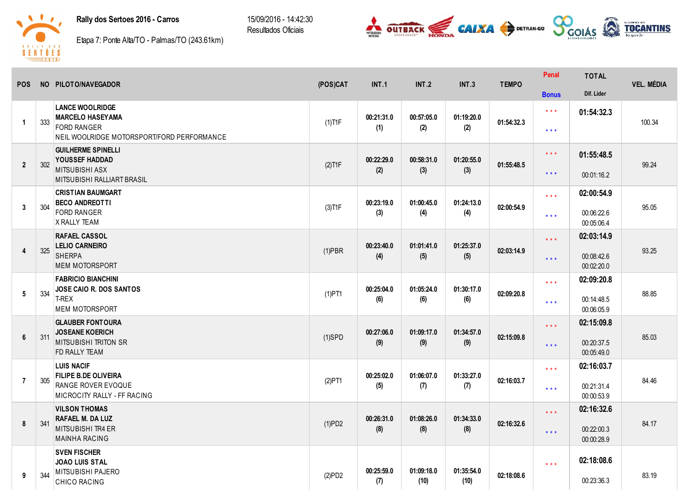## Rally dos Sertoes 2016 - Carros

15/09/2016 14:42:30 Resultados Oficiais





Etapa 7: Ponte Alta/TO - Palmas/TO (243.61km)

| <b>POS</b>              |     | NO PILOTO/NAVEGADOR                                                                                                   | (POS)CAT  | INT.1             | INT.2              | INT.3              | <b>TEMPO</b> | Penal                                              | <b>TOTAL</b>                           | <b>VEL. MÉDIA</b> |
|-------------------------|-----|-----------------------------------------------------------------------------------------------------------------------|-----------|-------------------|--------------------|--------------------|--------------|----------------------------------------------------|----------------------------------------|-------------------|
|                         |     |                                                                                                                       |           |                   |                    |                    |              | <b>Bonus</b>                                       | Dif. Lider                             |                   |
| $\overline{\mathbf{1}}$ | 333 | <b>LANCE WOOLRIDGE</b><br><b>MARCELO HASEYAMA</b><br><b>FORD RANGER</b><br>NEIL WOOLRIDGE MOTORSPORT/FORD PERFORMANCE | $(1)$ T1F | 00:21:31.0<br>(1) | 00:57:05.0<br>(2)  | 01:19:20.0<br>(2)  | 01:54:32.3   | $\star$ $\star$ $\star$<br>$***$                   | 01:54:32.3                             | 100.34            |
| $\overline{2}$          | 302 | <b>GUILHERME SPINELLI</b><br>YOUSSEF HADDAD<br><b>MITSUBISHI ASX</b><br><b>MITSUBISHI RALLIART BRASIL</b>             | $(2)$ T1F | 00:22:29.0<br>(2) | 00:58:31.0<br>(3)  | 01:20:55.0<br>(3)  | 01:55:48.5   | $\star$ $\star$ $\star$<br>$\star$ $\star$ $\star$ | 01:55:48.5<br>00:01:16.2               | 99.24             |
| $\mathbf{3}$            | 304 | <b>CRISTIAN BAUMGART</b><br><b>BECO ANDREOTTI</b><br><b>FORD RANGER</b><br><b>X RALLY TEAM</b>                        | $(3)$ T1F | 00:23:19.0<br>(3) | 01:00:45.0<br>(4)  | 01:24:13.0<br>(4)  | 02:00:54.9   | $***$<br>$***$                                     | 02:00:54.9<br>00:06:22.6<br>00:05:06.4 | 95.05             |
| $\overline{4}$          | 325 | <b>RAFAEL CASSOL</b><br><b>LELIO CARNEIRO</b><br><b>SHERPA</b><br><b>MEM MOTORSPORT</b>                               | $(1)$ PBR | 00:23:40.0<br>(4) | 01:01:41.0<br>(5)  | 01:25:37.0<br>(5)  | 02:03:14.9   | $***$<br>$***$                                     | 02:03:14.9<br>00:08:42.6<br>00:02:20.0 | 93.25             |
| $5\phantom{.0}$         | 334 | <b>FABRICIO BIANCHINI</b><br>JOSE CAIO R. DOS SANTOS<br>T-REX<br><b>MEM MOTORSPORT</b>                                | $(1)$ PT1 | 00:25:04.0<br>(6) | 01:05:24.0<br>(6)  | 01:30:17.0<br>(6)  | 02:09:20.8   | $\star\star\star$<br>$\star\star\star$             | 02:09:20.8<br>00:14:48.5<br>00:06:05.9 | 88.85             |
| $6\phantom{1}$          | 311 | <b>GLAUBER FONTOURA</b><br><b>JOSEANE KOERICH</b><br><b>MITSUBISHI TRITON SR</b><br>FD RALLY TEAM                     | $(1)$ SPD | 00:27:06.0<br>(9) | 01:09:17.0<br>(9)  | 01:34:57.0<br>(9)  | 02:15:09.8   | $***$<br>$***$                                     | 02:15:09.8<br>00:20:37.5<br>00:05:49.0 | 85.03             |
| $\overline{7}$          | 305 | <b>LUIS NACIF</b><br><b>FILIPE B.DE OLIVEIRA</b><br>RANGE ROVER EVOQUE<br>MICROCITY RALLY - FF RACING                 | (2)PT1    | 00:25:02.0<br>(5) | 01:06:07.0<br>(7)  | 01:33:27.0<br>(7)  | 02:16:03.7   | $\star$ $\star$ $\star$<br>$\star$ $\star$ $\star$ | 02:16:03.7<br>00:21:31.4<br>00:00:53.9 | 84.46             |
| 8                       | 341 | <b>VILSON THOMAS</b><br><b>RAFAEL M. DA LUZ</b><br>MITSUBISHI TR4 ER<br><b>MAINHA RACING</b>                          | (1)PD2    | 00:26:31.0<br>(8) | 01:08:26.0<br>(8)  | 01:34:33.0<br>(8)  | 02:16:32.6   | $***$<br>$\star \star \star$                       | 02:16:32.6<br>00:22:00.3<br>00:00:28.9 | 84.17             |
| 9                       | 344 | <b>SVEN FISCHER</b><br><b>JOAO LUIS STAL</b><br>MITSUBISHI PAJERO<br>CHICO RACING                                     | (2)PD2    | 00:25:59.0<br>(7) | 01:09:18.0<br>(10) | 01:35:54.0<br>(10) | 02:18:08.6   | $\star \star \star$                                | 02:18:08.6<br>00:23:36.3               | 83.19             |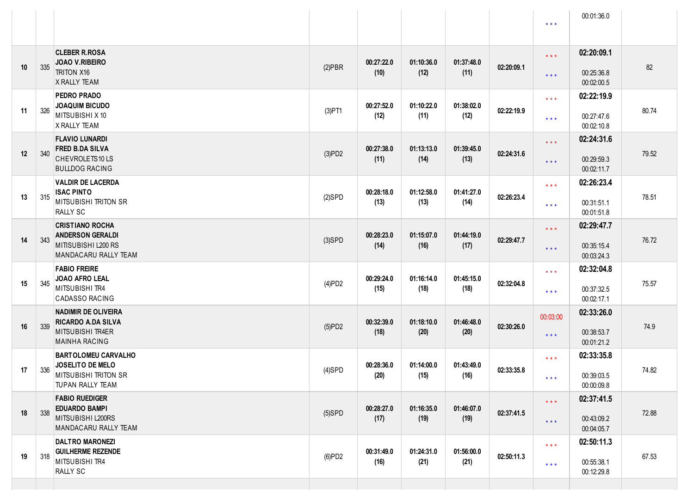|    |     |                                                                                                     |           |                    |                    |                    |            | $\star$ $\star$ $\star$                            | 00:01:36.0                             |       |
|----|-----|-----------------------------------------------------------------------------------------------------|-----------|--------------------|--------------------|--------------------|------------|----------------------------------------------------|----------------------------------------|-------|
| 10 | 335 | <b>CLEBER R.ROSA</b><br><b>JOAO V.RIBEIRO</b><br><b>TRITON X16</b><br>X RALLY TEAM                  | $(2)$ PBR | 00:27:22.0<br>(10) | 01:10:36.0<br>(12) | 01:37:48.0<br>(11) | 02:20:09.1 | $\star$ $\star$ $\star$<br>$***$                   | 02:20:09.1<br>00:25:36.8<br>00:02:00.5 | 82    |
| 11 | 326 | PEDRO PRADO<br><b>JOAQUIM BICUDO</b><br>MITSUBISHI X 10<br>X RALLY TEAM                             | $(3)$ PT1 | 00:27:52.0<br>(12) | 01:10:22.0<br>(11) | 01:38:02.0<br>(12) | 02:22:19.9 | $\star$ $\star$ $\star$<br>$***$                   | 02:22:19.9<br>00:27:47.6<br>00:02:10.8 | 80.74 |
| 12 | 340 | <b>FLAVIO LUNARDI</b><br><b>FRED B.DA SILVA</b><br>CHEVROLETS10LS<br><b>BULLDOG RACING</b>          | (3)PD2    | 00:27:38.0<br>(11) | 01:13:13.0<br>(14) | 01:39:45.0<br>(13) | 02:24:31.6 | $\star$ $\star$ $\star$<br>$***$                   | 02:24:31.6<br>00:29:59.3<br>00:02:11.7 | 79.52 |
| 13 | 315 | <b>VALDIR DE LACERDA</b><br><b>ISAC PINTO</b><br><b>MITSUBISHI TRITON SR</b><br><b>RALLY SC</b>     | $(2)$ SPD | 00:28:18.0<br>(13) | 01:12:58.0<br>(13) | 01:41:27.0<br>(14) | 02:26:23.4 | $\star$ $\star$ $\star$<br>$***$                   | 02:26:23.4<br>00:31:51.1<br>00:01:51.8 | 78.51 |
| 14 | 343 | <b>CRISTIANO ROCHA</b><br><b>ANDERSON GERALDI</b><br>MITISUBISHI L200 RS<br>MANDACARU RALLY TEAM    | $(3)$ SPD | 00:28:23.0<br>(14) | 01:15:07.0<br>(16) | 01:44:19.0<br>(17) | 02:29:47.7 | $\star$ $\star$ $\star$<br>$***$                   | 02:29:47.7<br>00:35:15.4<br>00:03:24.3 | 76.72 |
| 15 | 345 | <b>FABIO FREIRE</b><br>JOAO AFRO LEAL<br>MITSUBISHI TR4<br><b>CADASSO RACING</b>                    | (4)PD2    | 00:29:24.0<br>(15) | 01:16:14.0<br>(18) | 01:45:15.0<br>(18) | 02:32:04.8 | $\star$ $\star$ $\star$<br>$***$                   | 02:32:04.8<br>00:37:32.5<br>00:02:17.1 | 75.57 |
| 16 | 339 | <b>NADIMIR DE OLIVEIRA</b><br><b>RICARDO A.DA SILVA</b><br>MITSUBISHI TR4ER<br><b>MAINHA RACING</b> | (5)PD2    | 00:32:39.0<br>(18) | 01:18:10.0<br>(20) | 01:46:48.0<br>(20) | 02:30:26.0 | 00:03:00<br>$***$                                  | 02:33:26.0<br>00:38:53.7<br>00:01:21.2 | 74.9  |
| 17 | 336 | <b>BARTOLOMEU CARVALHO</b><br>JOSELITO DE MELO<br><b>MITSUBISHI TRITON SR</b><br>TUPAN RALLY TEAM   | $(4)$ SPD | 00:28:36.0<br>(20) | 01:14:00.0<br>(15) | 01:43:49.0<br>(16) | 02:33:35.8 | $\star$ $\star$ $\star$<br>$* * *$                 | 02:33:35.8<br>00:39:03.5<br>00:00:09.8 | 74.82 |
| 18 | 338 | <b>FABIO RUEDIGER</b><br><b>EDUARDO BAMPI</b><br>MITSUBISHI L200RS<br>MANDACARU RALLY TEAM          | $(5)$ SPD | 00:28:27.0<br>(17) | 01:16:35.0<br>(19) | 01:46:07.0<br>(19) | 02:37:41.5 | $\star$ $\star$ $\star$<br>$***$                   | 02:37:41.5<br>00:43:09.2<br>00:04:05.7 | 72.88 |
| 19 | 318 | <b>DALTRO MARONEZI</b><br><b>GUILHERME REZENDE</b><br>MITSUBISHI TR4<br>RALLY SC                    | (6)PD2    | 00:31:49.0<br>(16) | 01:24:31.0<br>(21) | 01:56:00.0<br>(21) | 02:50:11.3 | $\star$ $\star$ $\star$<br>$\star$ $\star$ $\star$ | 02:50:11.3<br>00:55:38.1<br>00:12:29.8 | 67.53 |
|    |     |                                                                                                     |           |                    |                    |                    |            |                                                    |                                        |       |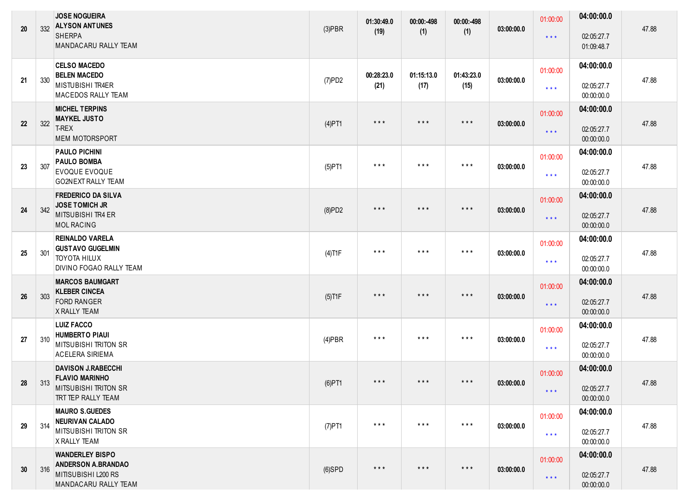| 20 | 332 | <b>JOSE NOGUEIRA</b><br><b>ALYSON ANTUNES</b><br><b>SHERPA</b><br>MANDACARU RALLY TEAM                     | $(3)$ PBR | 01:30:49.0<br>(19)      | 00:00:-498<br>(1)       | 00:00:-498<br>(1)       | 03:00:00.0 | 01:00:00<br>$***$                   | 04:00:00.0<br>02:05:27.7<br>01:09:48.7 | 47.88 |
|----|-----|------------------------------------------------------------------------------------------------------------|-----------|-------------------------|-------------------------|-------------------------|------------|-------------------------------------|----------------------------------------|-------|
| 21 | 330 | <b>CELSO MACEDO</b><br><b>BELEN MACEDO</b><br>MISTUBISHI TR4ER<br><b>MACEDOS RALLY TEAM</b>                | (7)PD2    | 00:28:23.0<br>(21)      | 01:15:13.0<br>(17)      | 01:43:23.0<br>(15)      | 03:00:00.0 | 01:00:00<br>$\star$ $\star$ $\star$ | 04:00:00.0<br>02:05:27.7<br>00:00:00.0 | 47.88 |
| 22 | 322 | <b>MICHEL TERPINS</b><br><b>MAYKEL JUSTO</b><br>T-REX<br><b>MEM MOTORSPORT</b>                             | $(4)$ PT1 | $\star$ $\star$ $\star$ | $\star$ $\star$ $\star$ | $\star$ $\star$ $\star$ | 03:00:00.0 | 01:00:00<br>$\star$ $\star$ $\star$ | 04:00:00.0<br>02:05:27.7<br>00:00:00.0 | 47.88 |
| 23 | 307 | <b>PAULO PICHINI</b><br><b>PAULO BOMBA</b><br><b>EVOQUE EVOQUE</b><br>GO2NEXT RALLY TEAM                   | $(5)$ PT1 | $\star$ $\star$ $\star$ | $\star$ $\star$ $\star$ | $\star$ $\star$ $\star$ | 03:00:00.0 | 01:00:00<br>$\star$ $\star$ $\star$ | 04:00:00.0<br>02:05:27.7<br>00:00:00.0 | 47.88 |
| 24 | 342 | <b>FREDERICO DA SILVA</b><br><b>JOSE TOMICH JR</b><br><b>MITSUBISHI TR4 ER</b><br><b>MOL RACING</b>        | (8)PD2    | $\star$ $\star$ $\star$ | $\star$ $\star$ $\star$ | $***$                   | 03:00:00.0 | 01:00:00<br>$***$                   | 04:00:00.0<br>02:05:27.7<br>00:00:00.0 | 47.88 |
| 25 | 301 | <b>REINALDO VARELA</b><br><b>GUSTAVO GUGELMIN</b><br><b>TOYOTA HILUX</b><br><b>DIVINO FOGAO RALLY TEAM</b> | $(4)$ T1F | $\star$ $\star$ $\star$ | $\star$ $\star$ $\star$ | $\star$ $\star$ $\star$ | 03:00:00.0 | 01:00:00<br>$\star$ $\star$ $\star$ | 04:00:00.0<br>02:05:27.7<br>00:00:00.0 | 47.88 |
| 26 | 303 | <b>MARCOS BAUMGART</b><br><b>KLEBER CINCEA</b><br><b>FORD RANGER</b><br>X RALLY TEAM                       | $(5)$ T1F | $\star$ $\star$ $\star$ | $\star$ $\star$ $\star$ | $***$                   | 03:00:00.0 | 01:00:00<br>$\star$ $\star$ $\star$ | 04:00:00.0<br>02:05:27.7<br>00:00:00.0 | 47.88 |
| 27 | 310 | <b>LUIZ FACCO</b><br><b>HUMBERTO PIAUI</b><br><b>MITSUBISHI TRITON SR</b><br><b>ACELERA SIRIEMA</b>        | $(4)$ PBR | $\star$ $\star$ $\star$ | $***$                   | $***$                   | 03:00:00.0 | 01:00:00<br>$\star$ $\star$ $\star$ | 04:00:00.0<br>02:05:27.7<br>00:00:00.0 | 47.88 |
| 28 | 313 | <b>DAVISON J.RABECCHI</b><br><b>FLAVIO MARINHO</b><br><b>MITSUBISHI TRITON SR</b><br>TRT TEP RALLY TEAM    | $(6)$ PT1 |                         |                         |                         | 03:00:00.0 | 01:00:00<br>$\star$ $\star$ $\star$ | 04:00:00.0<br>02:05:27.7<br>00:00:00.0 | 47.88 |
| 29 | 314 | <b>MAURO S.GUEDES</b><br><b>NEURIVAN CALADO</b><br>MITSUBISHI TRITON SR<br>X RALLY TEAM                    | $(7)$ PT1 | $\star$ $\star$ $\star$ | $\star$ $\star$ $\star$ | $\star$ $\star$ $\star$ | 03:00:00.0 | 01:00:00<br>$\star$ $\star$ $\star$ | 04:00:00.0<br>02:05:27.7<br>00:00:00.0 | 47.88 |
| 30 | 316 | <b>WANDERLEY BISPO</b><br><b>ANDERSON A.BRANDAO</b><br>MITISUBISHI L200 RS<br>MANDACARU RALLY TEAM         | $(6)$ SPD | $\star$ $\star$ $\star$ | $\star$ $\star$ $\star$ | $***$                   | 03:00:00.0 | 01:00:00<br>$\star$ $\star$ $\star$ | 04:00:00.0<br>02:05:27.7<br>00:00:00.0 | 47.88 |